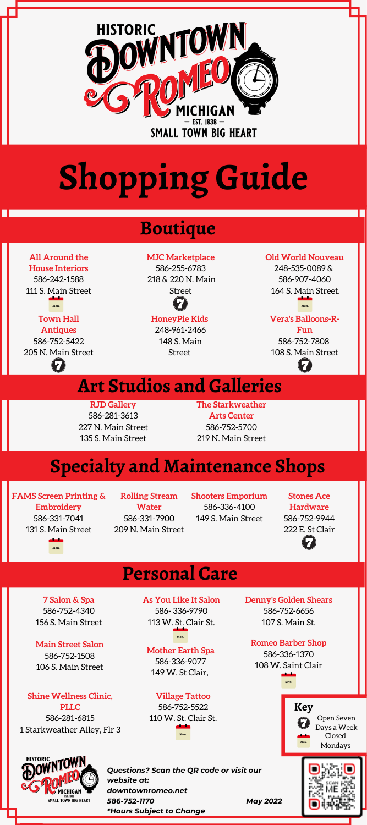

# **Shopping Guide**

### **Boutique**

**All Around the House Interiors** 586-242-1588 111 S. Main Street

 $\blacksquare$ 

### **Town Hall**

**Antiques** 586-752-5422 205 N. Main Street  $\boldsymbol{\Omega}$ 

### **MJC Marketplace** 586-255-6783

218 & 220 N. Main Street

### **Mon. Mon.**

**HoneyPie Kids** 248-961-2466 148 S. Main Street

**Old World Nouveau** 248-535-0089 & 586-907-4060

164 S. Main Street.

### **Vera's Balloons-R-**

**Fun** 586-752-7808 108 S. Main Street - 67



**RJD Gallery** 586-281-3613 227 N. Main Street 135 S. Main Street **The Starkweather Arts Center** 586-752-5700 219 N. Main Street

## **Specialty and Maintenance Shops**

**FAMS Screen Printing & Embroidery** 586-331-7041 131 S. Main Street **Mon.**

**Rolling Stream Water** 586-331-7900 209 N. Main Street **Shooters Emporium** 586-336-4100 149 S. Main Street

**Stones Ace Hardware** 586-752-9944 222 E. St Clair 2

## **Personal Care**

**7 Salon & Spa** 586-752-4340 156 S. Main Street

### **Main Street Salon**

586-752-1508 106 S. Main Street

**Shine Wellness Clinic, PLLC** 586**-**281-6815 1 Starkweather Alley, Flr 3



**As You Like It Salon** 586- 336-9790 113 W. St. Clair St.

#### **Mother Earth Spa Mon.**

586-336-9077 149 W. St Clair,

**Village Tattoo** 586-752-5522 110 W. St. Clair St. **Denny's Golden Shears** 586-752-6656 107 S. Main St.

#### **Romeo Barber Shop**

586-336-1370 108 W. Saint Clair **Mon.**





*Questions? Scan the QR code or visit our website at: downtownromeo.net 586-752-1170 May 2022 \*Hours Subject to Change*